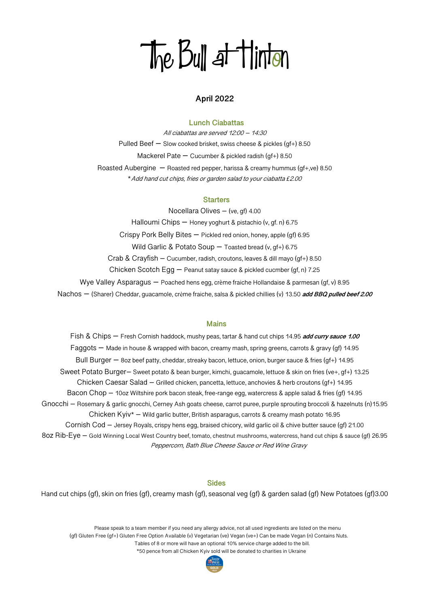# The Bull at Hinton

## **April 2022**

## **Lunch Ciabattas**

All ciabattas are served 12:00 – 14:30 Pulled Beef – Slow cooked brisket, swiss cheese & pickles (gf+) 8.50 Mackerel Pate  $-$  Cucumber & pickled radish (gf+) 8.50 Roasted Aubergine – Roasted red pepper, harissa & creamy hummus (gf+,ve) 8.50 \*Add hand cut chips, fries or garden salad to your ciabatta *£*2.00

#### **Starters**

Nocellara Olives – (ve, gf) 4.00 Halloumi Chips – Honey yoghurt & pistachio (v, gf. n) 6.75 Crispy Pork Belly Bites – Pickled red onion, honey, apple (gf) 6.95 Wild Garlic & Potato Soup – Toasted bread (v, gf+) 6.75 Crab & Crayfish – Cucumber, radish, croutons, leaves & dill mayo (gf+) 8.50 Chicken Scotch Egg – Peanut satay sauce & pickled cucmber (gf, n) 7.25 Wye Valley Asparagus – Poached hens egg, crème fraiche Hollandaise & parmesan (gf, v) 8.95 Nachos – (Sharer) Cheddar, guacamole, crème fraiche, salsa & pickled chillies (v) 13.50 **add BBQ pulled beef 2.00**

#### **Mains**

Fish & Chips – Fresh Cornish haddock, mushy peas, tartar & hand cut chips 14.95 **add curry sauce 1.00** Faggots – Made in house & wrapped with bacon, creamy mash, spring greens, carrots & gravy (gf) 14.95 Bull Burger – 8oz beef patty, cheddar, streaky bacon, lettuce, onion, burger sauce & fries (gf+) 14.95 Sweet Potato Burger– Sweet potato & bean burger, kimchi, guacamole, lettuce & skin on fries (ve+, gf+) 13.25 Chicken Caesar Salad – Grilled chicken, pancetta, lettuce, anchovies & herb croutons (gf+) 14.95 Bacon Chop – 10oz Wiltshire pork bacon steak, free-range egg, watercress & apple salad & fries (gf) 14.95 Gnocchi – Rosemary & garlic gnocchi, Cerney Ash goats cheese, carrot puree, purple sprouting broccoli & hazelnuts (n)15.95 Chicken Kyiv\* – Wild garlic butter, British asparagus, carrots & creamy mash potato 16.95 Cornish Cod – Jersey Royals, crispy hens egg, braised chicory, wild garlic oil & chive butter sauce (gf) 21.00 8oz Rib-Eye – Gold Winning Local West Country beef, tomato, chestnut mushrooms, watercress, hand cut chips & sauce (gf) 26.95 Peppercorn, Bath Blue Cheese Sauce or Red Wine Gravy

#### **Sides**

Hand cut chips (gf), skin on fries (gf), creamy mash (gf), seasonal veg (gf) & garden salad (gf) New Potatoes (gf)3.00

 Please speak to a team member if you need any allergy advice, not all used ingredients are listed on the menu (gf) Gluten Free (gf+) Gluten Free Option Available (v) Vegetarian (ve) Vegan (ve+) Can be made Vegan (n) Contains Nuts. Tables of 8 or more will have an optional 10% service charge added to the bill. \*50 pence from all Chicken Kyiv sold will be donated to charities in Ukraine